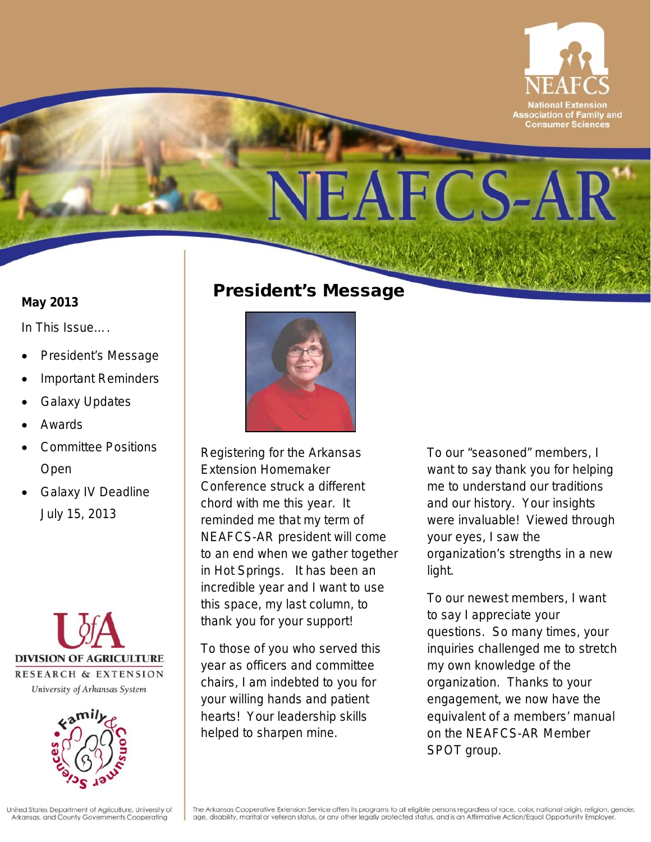

#### **May 2013**

*In This Issue….*

- President's Message
- Important Reminders
- **Galaxy Updates**
- Awards
- Committee Positions Open
- Galaxy IV Deadline July 15, 2013





### President's Message



Registering for the Arkansas Extension Homemaker Conference struck a different chord with me this year. It reminded me that my term of NEAFCS-AR president will come to an end when we gather together in Hot Springs. It has been an incredible year and I want to use this space, my last column, to thank you for your support!

To those of you who served this year as officers and committee chairs, I am indebted to you for your willing hands and patient hearts! Your leadership skills helped to sharpen mine.

To our "seasoned" members, I want to say thank you for helping me to understand our traditions and our history. Your insights were invaluable! Viewed through your eyes, I saw the organization's strengths in a new light.

To our newest members, I want to say I appreciate your questions. So many times, your inquiries challenged me to stretch my own knowledge of the organization. Thanks to your engagement, we now have the equivalent of a members' manual on the NEAFCS-AR Member SPOT group.

United States Department of Agriculture, University of Arkansas, and County Governments Cooperating

The Arkansas Cooperative Extension Service offers its programs to all eligible persons regardless of race, color, national origin, religion, gender, age, disability, marital or veteran status, or any other legally protected status, and is an Affirmative Action/Equal Opportunity Employer.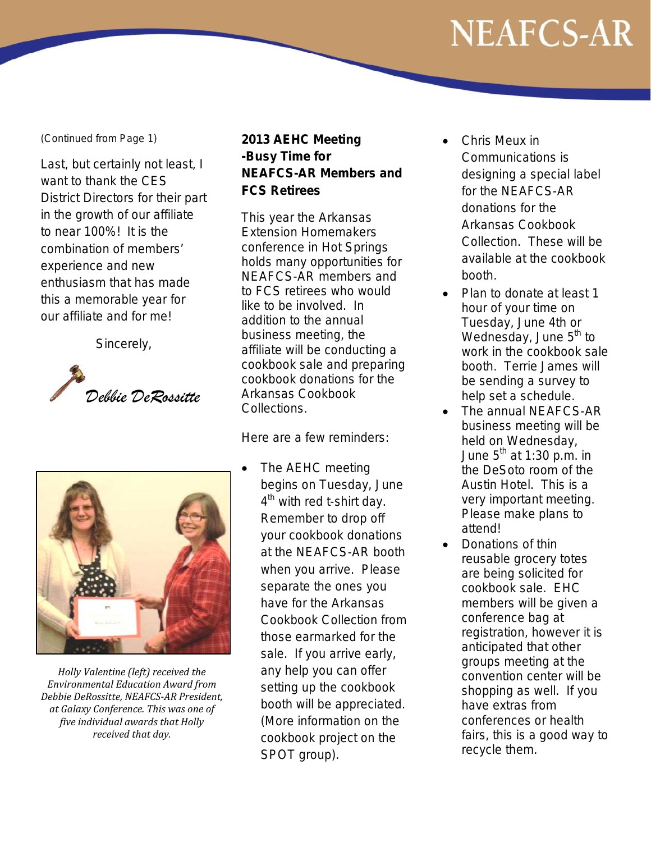#### *(Continued from Page 1)*

Last, but certainly not least, I want to thank the CES District Directors for their part in the growth of our affiliate to near 100%! It is the combination of members' experience and new enthusiasm that has made this a memorable year for our affiliate and for me!

Sincerely,





*Holly Valentine (left) received the Environmental Education Award from Debbie DeRossitte, NEAFCS-AR President, at Galaxy Conference. This was one of five individual awards that Holly received that day.*

#### **2013 AEHC Meeting -Busy Time for NEAFCS-AR Members and FCS Retirees**

This year the Arkansas Extension Homemakers conference in Hot Springs holds many opportunities for NEAFCS-AR members and to FCS retirees who would like to be involved. In addition to the annual business meeting, the affiliate will be conducting a cookbook sale and preparing cookbook donations for the Arkansas Cookbook Collections.

Here are a few reminders:

The AEHC meeting begins on Tuesday, June  $4<sup>th</sup>$  with red t-shirt day. Remember to drop off your cookbook donations at the NEAFCS-AR booth when you arrive. Please separate the ones you have for the Arkansas Cookbook Collection from those earmarked for the sale. If you arrive early, any help you can offer setting up the cookbook booth will be appreciated. (More information on the cookbook project on the SPOT group).

- Chris Meux in Communications is designing a special label for the NEAFCS-AR donations for the Arkansas Cookbook Collection. These will be available at the cookbook booth.
- Plan to donate at least 1 hour of your time on Tuesday, June 4th or Wednesday, June  $5<sup>th</sup>$  to work in the cookbook sale booth. Terrie James will be sending a survey to help set a schedule.
- The annual NEAFCS-AR business meeting will be held on Wednesday, June  $5^{th}$  at 1:30 p.m. in the DeSoto room of the Austin Hotel. This is a very important meeting. Please make plans to attend!
- Donations of thin reusable grocery totes are being solicited for cookbook sale. EHC members will be given a conference bag at registration, however it is anticipated that other groups meeting at the convention center will be shopping as well. If you have extras from conferences or health fairs, this is a good way to recycle them.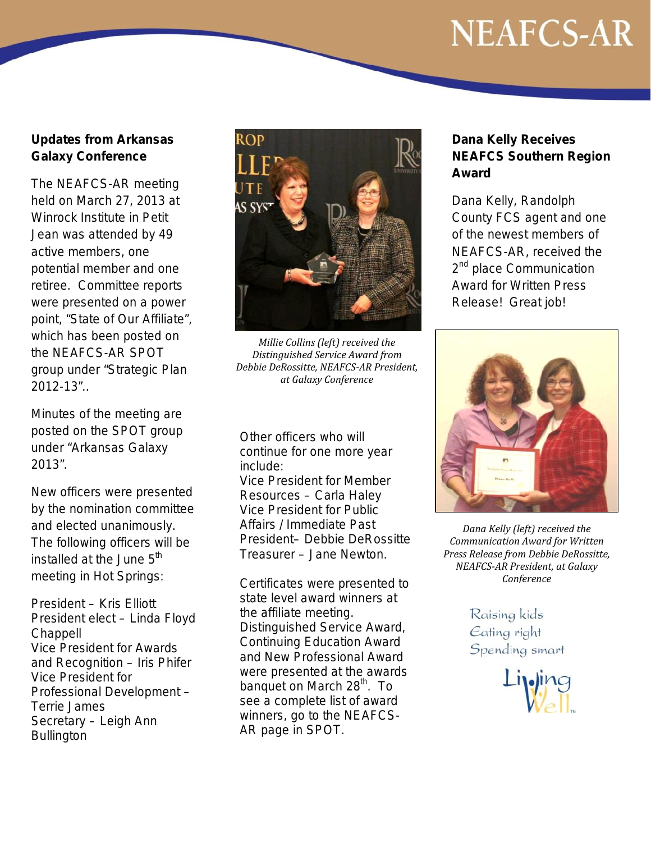#### **Updates from Arkansas Galaxy Conference**

The NEAFCS-AR meeting held on March 27, 2013 at Winrock Institute in Petit Jean was attended by 49 active members, one potential member and one retiree. Committee reports were presented on a power point, "State of Our Affiliate", which has been posted on the NEAFCS-AR SPOT group under "Strategic Plan 2012-13"..

Minutes of the meeting are posted on the SPOT group under "Arkansas Galaxy 2013".

New officers were presented by the nomination committee and elected unanimously. The following officers will be installed at the June  $5<sup>th</sup>$ meeting in Hot Springs:

President – Kris Elliott President elect – Linda Floyd **Chappell** Vice President for Awards and Recognition – Iris Phifer Vice President for Professional Development – Terrie James Secretary – Leigh Ann **Bullington** 



*Millie Collins (left) received the Distinguished Service Award from Debbie DeRossitte, NEAFCS-AR President, at Galaxy Conference*

Other officers who will continue for one more year include:

Vice President for Member Resources – Carla Haley Vice President for Public Affairs / Immediate Past President– Debbie DeRossitte Treasurer – Jane Newton.

Certificates were presented to state level award winners at the affiliate meeting. Distinguished Service Award, Continuing Education Award and New Professional Award were presented at the awards banquet on March 28<sup>th</sup>. To see a complete list of award winners, go to the NEAFCS-AR page in SPOT.

#### **Dana Kelly Receives NEAFCS Southern Region Award**

Dana Kelly, Randolph County FCS agent and one of the newest members of NEAFCS-AR, received the 2<sup>nd</sup> place Communication Award for Written Press Release! Great job!



*Dana Kelly (left) received the Communication Award for Written Press Release from Debbie DeRossitte, NEAFCS-AR President, at Galaxy Conference*

> Raising kids Eating right Spending smart